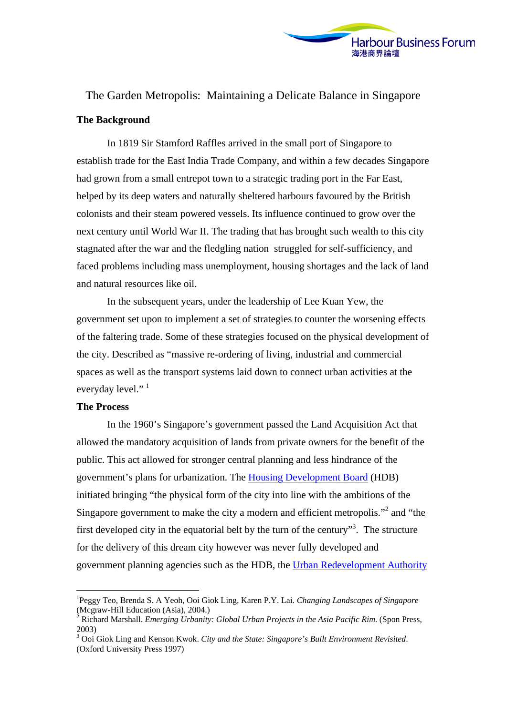

# The Garden Metropolis: Maintaining a Delicate Balance in Singapore **The Background**

In 1819 Sir Stamford Raffles arrived in the small port of Singapore to establish trade for the East India Trade Company, and within a few decades Singapore had grown from a small entrepot town to a strategic trading port in the Far East, helped by its deep waters and naturally sheltered harbours favoured by the British colonists and their steam powered vessels. Its influence continued to grow over the next century until World War II. The trading that has brought such wealth to this city stagnated after the war and the fledgling nation struggled for self-sufficiency, and faced problems including mass unemployment, housing shortages and the lack of land and natural resources like oil.

In the subsequent years, under the leadership of Lee Kuan Yew, the government set upon to implement a set of strategies to counter the worsening effects of the faltering trade. Some of these strategies focused on the physical development of the city. Described as "massive re-ordering of living, industrial and commercial spaces as well as the transport systems laid down to connect urban activities at the everyday level."<sup>[1](#page-0-0)</sup>

#### **The Process**

 $\overline{a}$ 

In the 1960's Singapore's government passed the Land Acquisition Act that allowed the mandatory acquisition of lands from private owners for the benefit of the public. This act allowed for stronger central planning and less hindrance of the government's plans for urbanization. The [Housing Development Board](http://www.hdb.gov.sg/) (HDB) initiated bringing "the physical form of the city into line with the ambitions of the Singapore government to make the city a modern and efficient metropolis."<sup>[2](#page-0-1)</sup> and "the first developed city in the equatorial belt by the turn of the century"<sup>[3](#page-0-2)</sup>. The structure for the delivery of this dream city however was never fully developed and government planning agencies such as the HDB, the [Urban Redevelopment Authority](http://www.ura.gov.sg/)

<span id="page-0-0"></span><sup>1</sup> Peggy Teo, Brenda S. A Yeoh, Ooi Giok Ling, Karen P.Y. Lai. *Changing Landscapes of Singapore* (Mcgraw-Hill Education (Asia), 2004.)

<span id="page-0-1"></span><sup>2</sup> Richard Marshall. *Emerging Urbanity: Global Urban Projects in the Asia Pacific Rim*. (Spon Press, 2003)

<span id="page-0-2"></span><sup>3</sup> Ooi Giok Ling and Kenson Kwok. *City and the State: Singapore's Built Environment Revisited*. (Oxford University Press 1997)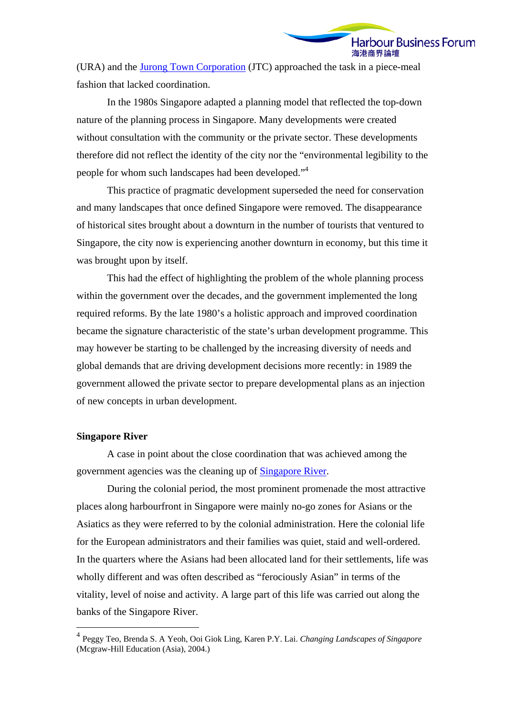(URA) and the [Jurong Town Corporation](http://www.jtc.gov.sg/) (JTC) approached the task in a piece-meal fashion that lacked coordination.

In the 1980s Singapore adapted a planning model that reflected the top-down nature of the planning process in Singapore. Many developments were created without consultation with the community or the private sector. These developments therefore did not reflect the identity of the city nor the "environmental legibility to the people for whom such landscapes had been developed."<sup>[4](#page-1-0)</sup>

This practice of pragmatic development superseded the need for conservation and many landscapes that once defined Singapore were removed. The disappearance of historical sites brought about a downturn in the number of tourists that ventured to Singapore, the city now is experiencing another downturn in economy, but this time it was brought upon by itself.

This had the effect of highlighting the problem of the whole planning process within the government over the decades, and the government implemented the long required reforms. By the late 1980's a holistic approach and improved coordination became the signature characteristic of the state's urban development programme. This may however be starting to be challenged by the increasing diversity of needs and global demands that are driving development decisions more recently: in 1989 the government allowed the private sector to prepare developmental plans as an injection of new concepts in urban development.

## **Singapore River**

 $\overline{a}$ 

A case in point about the close coordination that was achieved among the government agencies was the cleaning up of [Singapore River.](http://www.visitsingapore.com/publish/stbportal/en/home/what_to_see/singapore_river.html)

During the colonial period, the most prominent promenade the most attractive places along harbourfront in Singapore were mainly no-go zones for Asians or the Asiatics as they were referred to by the colonial administration. Here the colonial life for the European administrators and their families was quiet, staid and well-ordered. In the quarters where the Asians had been allocated land for their settlements, life was wholly different and was often described as "ferociously Asian" in terms of the vitality, level of noise and activity. A large part of this life was carried out along the banks of the Singapore River.

<span id="page-1-0"></span><sup>4</sup> Peggy Teo, Brenda S. A Yeoh, Ooi Giok Ling, Karen P.Y. Lai. *Changing Landscapes of Singapore* (Mcgraw-Hill Education (Asia), 2004.)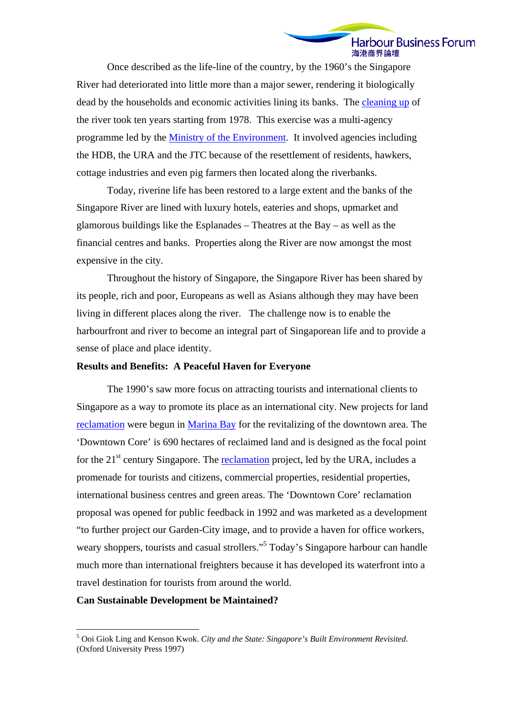Once described as the life-line of the country, by the 1960's the Singapore River had deteriorated into little more than a major sewer, rendering it biologically dead by the households and economic activities lining its banks. The [cleaning up](http://www.unepapac.org/sing_moe_river.html) of the river took ten years starting from 1978. This exercise was a multi-agency programme led by the [Ministry of the Environment](http://www.mewr.gov.sg/). It involved agencies including the HDB, the URA and the JTC because of the resettlement of residents, hawkers, cottage industries and even pig farmers then located along the riverbanks.

Today, riverine life has been restored to a large extent and the banks of the Singapore River are lined with luxury hotels, eateries and shops, upmarket and glamorous buildings like the Esplanades – Theatres at the Bay – as well as the financial centres and banks. Properties along the River are now amongst the most expensive in the city.

Throughout the history of Singapore, the Singapore River has been shared by its people, rich and poor, Europeans as well as Asians although they may have been living in different places along the river. The challenge now is to enable the harbourfront and river to become an integral part of Singaporean life and to provide a sense of place and place identity.

## **Results and Benefits: A Peaceful Haven for Everyone**

The 1990's saw more focus on attracting tourists and international clients to Singapore as a way to promote its place as an international city. New projects for land [reclamation](http://library.thinkquest.org/C006891/reclamation.html) were begun in [Marina Bay](http://www.marina-bay.sg/) for the revitalizing of the downtown area. The 'Downtown Core' is 690 hectares of reclaimed land and is designed as the focal point for the  $21<sup>st</sup>$  century Singapore. The [reclamation](http://www.ecologyasia.com/html-newsurl/singapore-land-reclamation.htm) project, led by the URA, includes a promenade for tourists and citizens, commercial properties, residential properties, international business centres and green areas. The 'Downtown Core' reclamation proposal was opened for public feedback in 1992 and was marketed as a development "to further project our Garden-City image, and to provide a haven for office workers, weary shoppers, tourists and casual strollers."<sup>[5](#page-2-0)</sup> Today's Singapore harbour can handle much more than international freighters because it has developed its waterfront into a travel destination for tourists from around the world.

### **Can Sustainable Development be Maintained?**

 $\overline{a}$ 

<span id="page-2-0"></span><sup>5</sup> Ooi Giok Ling and Kenson Kwok. *City and the State: Singapore's Built Environment Revisited*. (Oxford University Press 1997)